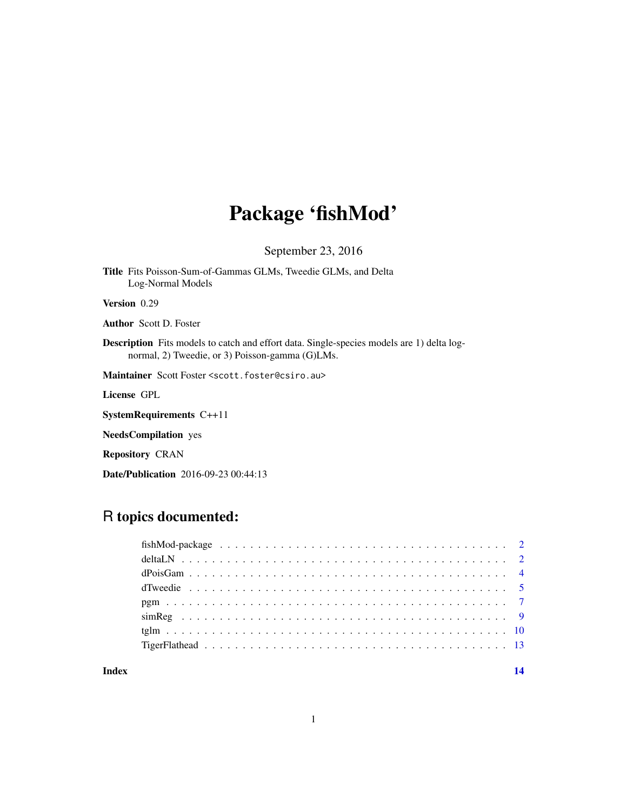# Package 'fishMod'

September 23, 2016

Title Fits Poisson-Sum-of-Gammas GLMs, Tweedie GLMs, and Delta Log-Normal Models

Version 0.29

Author Scott D. Foster

Description Fits models to catch and effort data. Single-species models are 1) delta lognormal, 2) Tweedie, or 3) Poisson-gamma (G)LMs.

Maintainer Scott Foster <scott.foster@csiro.au>

License GPL

SystemRequirements C++11

NeedsCompilation yes

Repository CRAN

Date/Publication 2016-09-23 00:44:13

# R topics documented:

**Index** 2008 **[14](#page-13-0)**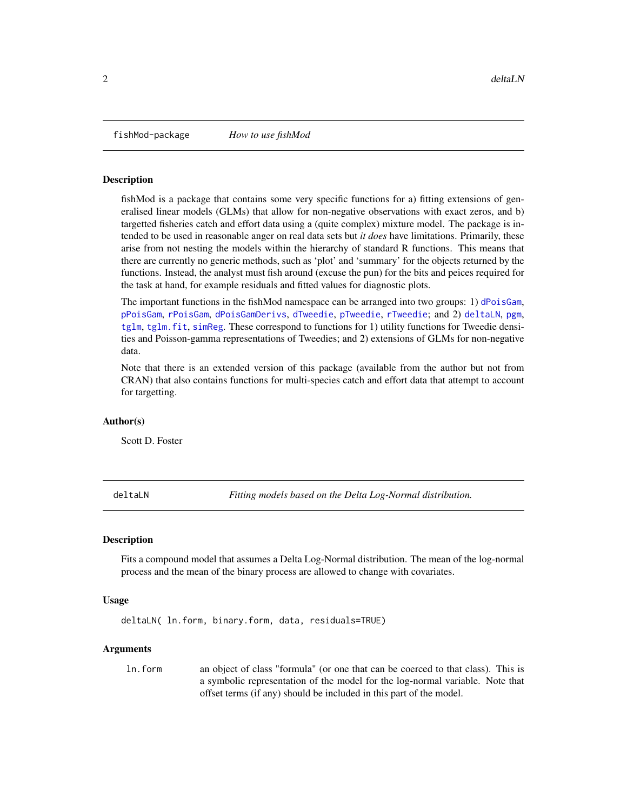<span id="page-1-0"></span>

# Description

fishMod is a package that contains some very specific functions for a) fitting extensions of generalised linear models (GLMs) that allow for non-negative observations with exact zeros, and b) targetted fisheries catch and effort data using a (quite complex) mixture model. The package is intended to be used in reasonable anger on real data sets but *it does* have limitations. Primarily, these arise from not nesting the models within the hierarchy of standard R functions. This means that there are currently no generic methods, such as 'plot' and 'summary' for the objects returned by the functions. Instead, the analyst must fish around (excuse the pun) for the bits and peices required for the task at hand, for example residuals and fitted values for diagnostic plots.

The important functions in the fishMod namespace can be arranged into two groups: 1) [dPoisGam](#page-3-1), [pPoisGam](#page-3-2), [rPoisGam](#page-3-2), [dPoisGamDerivs](#page-3-2), [dTweedie](#page-4-1), [pTweedie](#page-4-2), [rTweedie](#page-4-2); and 2) [deltaLN](#page-1-1), [pgm](#page-6-1), [tglm](#page-9-1), [tglm.fit](#page-9-2), [simReg](#page-8-1). These correspond to functions for 1) utility functions for Tweedie densities and Poisson-gamma representations of Tweedies; and 2) extensions of GLMs for non-negative data.

Note that there is an extended version of this package (available from the author but not from CRAN) that also contains functions for multi-species catch and effort data that attempt to account for targetting.

#### Author(s)

Scott D. Foster

<span id="page-1-1"></span>deltaLN *Fitting models based on the Delta Log-Normal distribution.*

#### Description

Fits a compound model that assumes a Delta Log-Normal distribution. The mean of the log-normal process and the mean of the binary process are allowed to change with covariates.

#### Usage

```
deltaLN( ln.form, binary.form, data, residuals=TRUE)
```
#### Arguments

ln.form an object of class "formula" (or one that can be coerced to that class). This is a symbolic representation of the model for the log-normal variable. Note that offset terms (if any) should be included in this part of the model.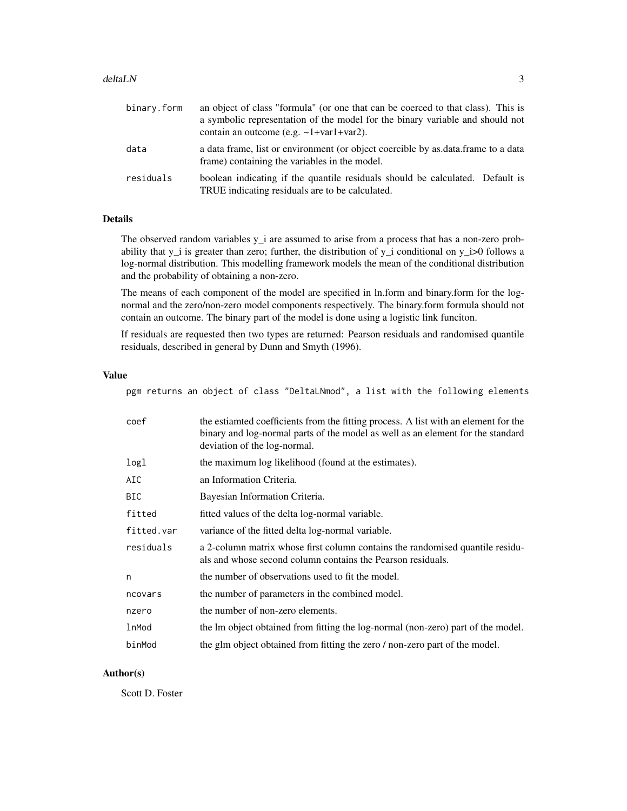#### deltaLN 3

| binary.form | an object of class "formula" (or one that can be coerced to that class). This is<br>a symbolic representation of the model for the binary variable and should not<br>contain an outcome (e.g. $\sim$ 1+var1+var2). |
|-------------|--------------------------------------------------------------------------------------------------------------------------------------------------------------------------------------------------------------------|
| data        | a data frame, list or environment (or object coercible by as data frame to a data<br>frame) containing the variables in the model.                                                                                 |
| residuals   | boolean indicating if the quantile residuals should be calculated. Default is<br>TRUE indicating residuals are to be calculated.                                                                                   |

# Details

The observed random variables y<sub>i</sub> are assumed to arise from a process that has a non-zero probability that y\_i is greater than zero; further, the distribution of y\_i conditional on y\_i>0 follows a log-normal distribution. This modelling framework models the mean of the conditional distribution and the probability of obtaining a non-zero.

The means of each component of the model are specified in ln.form and binary.form for the lognormal and the zero/non-zero model components respectively. The binary.form formula should not contain an outcome. The binary part of the model is done using a logistic link funciton.

If residuals are requested then two types are returned: Pearson residuals and randomised quantile residuals, described in general by Dunn and Smyth (1996).

#### Value

pgm returns an object of class "DeltaLNmod", a list with the following elements

| coef       | the estianted coefficients from the fitting process. A list with an element for the<br>binary and log-normal parts of the model as well as an element for the standard<br>deviation of the log-normal. |
|------------|--------------------------------------------------------------------------------------------------------------------------------------------------------------------------------------------------------|
| logl       | the maximum log likelihood (found at the estimates).                                                                                                                                                   |
| AIC        | an Information Criteria.                                                                                                                                                                               |
| BIC.       | Bayesian Information Criteria.                                                                                                                                                                         |
| fitted     | fitted values of the delta log-normal variable.                                                                                                                                                        |
| fitted.var | variance of the fitted delta log-normal variable.                                                                                                                                                      |
| residuals  | a 2-column matrix whose first column contains the randomised quantile residu-<br>als and whose second column contains the Pearson residuals.                                                           |
| n          | the number of observations used to fit the model.                                                                                                                                                      |
| ncovars    | the number of parameters in the combined model.                                                                                                                                                        |
| nzero      | the number of non-zero elements.                                                                                                                                                                       |
| lnMod      | the lm object obtained from fitting the log-normal (non-zero) part of the model.                                                                                                                       |
| binMod     | the glm object obtained from fitting the zero / non-zero part of the model.                                                                                                                            |

#### Author(s)

Scott D. Foster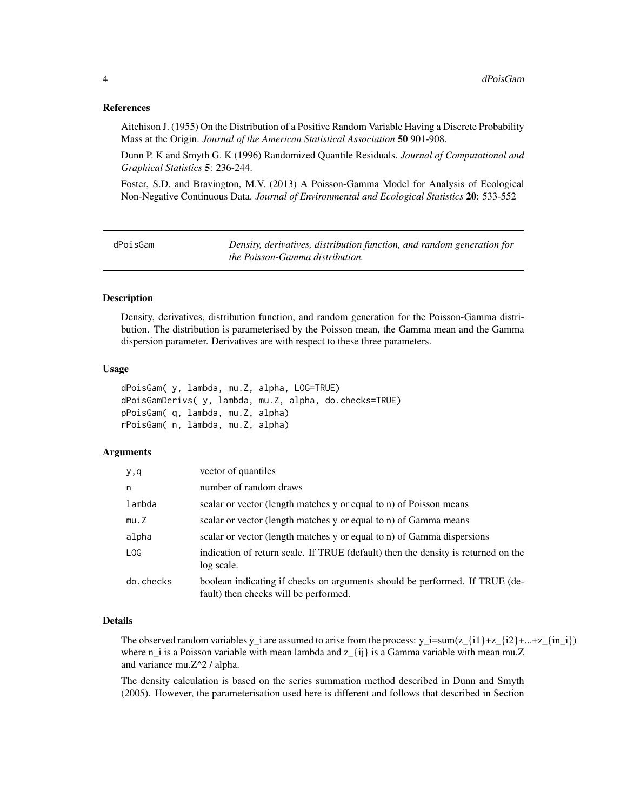### <span id="page-3-0"></span>References

Aitchison J. (1955) On the Distribution of a Positive Random Variable Having a Discrete Probability Mass at the Origin. *Journal of the American Statistical Association* 50 901-908.

Dunn P. K and Smyth G. K (1996) Randomized Quantile Residuals. *Journal of Computational and Graphical Statistics* 5: 236-244.

Foster, S.D. and Bravington, M.V. (2013) A Poisson-Gamma Model for Analysis of Ecological Non-Negative Continuous Data. *Journal of Environmental and Ecological Statistics* 20: 533-552

<span id="page-3-1"></span>dPoisGam *Density, derivatives, distribution function, and random generation for the Poisson-Gamma distribution.*

# <span id="page-3-2"></span>**Description**

Density, derivatives, distribution function, and random generation for the Poisson-Gamma distribution. The distribution is parameterised by the Poisson mean, the Gamma mean and the Gamma dispersion parameter. Derivatives are with respect to these three parameters.

#### Usage

```
dPoisGam( y, lambda, mu.Z, alpha, LOG=TRUE)
dPoisGamDerivs( y, lambda, mu.Z, alpha, do.checks=TRUE)
pPoisGam( q, lambda, mu.Z, alpha)
rPoisGam( n, lambda, mu.Z, alpha)
```
# Arguments

| y,q       | vector of quantiles                                                                                                  |
|-----------|----------------------------------------------------------------------------------------------------------------------|
| n         | number of random draws                                                                                               |
| lambda    | scalar or vector (length matches y or equal to n) of Poisson means                                                   |
| mu.Z      | scalar or vector (length matches y or equal to n) of Gamma means                                                     |
| alpha     | scalar or vector (length matches y or equal to n) of Gamma dispersions                                               |
| LOG       | indication of return scale. If TRUE (default) then the density is returned on the<br>log scale.                      |
| do.checks | boolean indicating if checks on arguments should be performed. If TRUE (de-<br>fault) then checks will be performed. |

#### Details

The observed random variables y\_i are assumed to arise from the process:  $y_i = \text{sum}(z_{i1} + z_{i2} + ... + z_{in}i)$ where  $n_i$  is a Poisson variable with mean lambda and  $z_{i}(i)$  is a Gamma variable with mean mu.Z and variance mu.Z^2 / alpha.

The density calculation is based on the series summation method described in Dunn and Smyth (2005). However, the parameterisation used here is different and follows that described in Section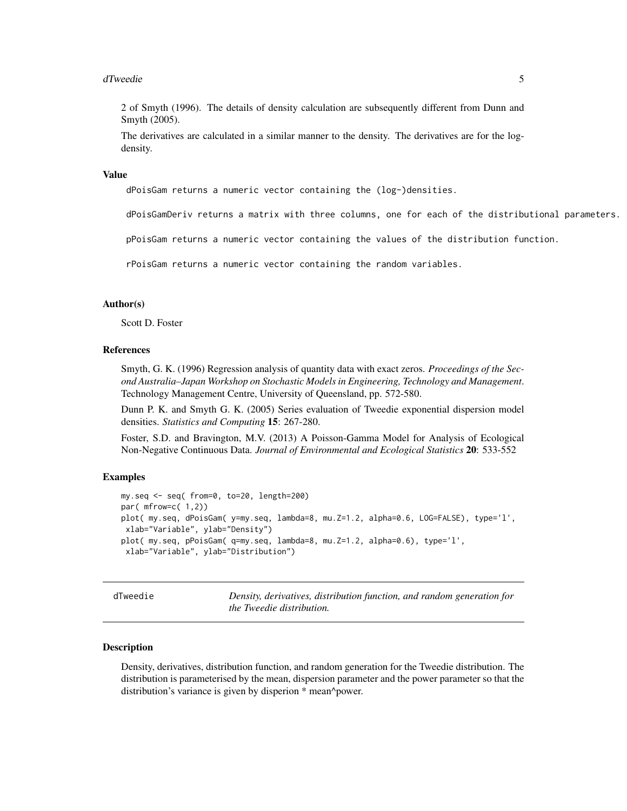#### <span id="page-4-0"></span>dTweedie 55

2 of Smyth (1996). The details of density calculation are subsequently different from Dunn and Smyth (2005).

The derivatives are calculated in a similar manner to the density. The derivatives are for the logdensity.

#### Value

dPoisGam returns a numeric vector containing the (log-)densities.

dPoisGamDeriv returns a matrix with three columns, one for each of the distributional parameters.

pPoisGam returns a numeric vector containing the values of the distribution function.

rPoisGam returns a numeric vector containing the random variables.

#### Author(s)

Scott D. Foster

# References

Smyth, G. K. (1996) Regression analysis of quantity data with exact zeros. *Proceedings of the Second Australia–Japan Workshop on Stochastic Models in Engineering, Technology and Management*. Technology Management Centre, University of Queensland, pp. 572-580.

Dunn P. K. and Smyth G. K. (2005) Series evaluation of Tweedie exponential dispersion model densities. *Statistics and Computing* 15: 267-280.

Foster, S.D. and Bravington, M.V. (2013) A Poisson-Gamma Model for Analysis of Ecological Non-Negative Continuous Data. *Journal of Environmental and Ecological Statistics* 20: 533-552

# Examples

```
my.seq <- seq( from=0, to=20, length=200)
par( mfrow=c( 1,2))
plot( my.seq, dPoisGam( y=my.seq, lambda=8, mu.Z=1.2, alpha=0.6, LOG=FALSE), type='l',
 xlab="Variable", ylab="Density")
plot( my.seq, pPoisGam( q=my.seq, lambda=8, mu.Z=1.2, alpha=0.6), type='l',
 xlab="Variable", ylab="Distribution")
```
<span id="page-4-1"></span>dTweedie *Density, derivatives, distribution function, and random generation for the Tweedie distribution.*

#### <span id="page-4-2"></span>Description

Density, derivatives, distribution function, and random generation for the Tweedie distribution. The distribution is parameterised by the mean, dispersion parameter and the power parameter so that the distribution's variance is given by disperion \* mean^power.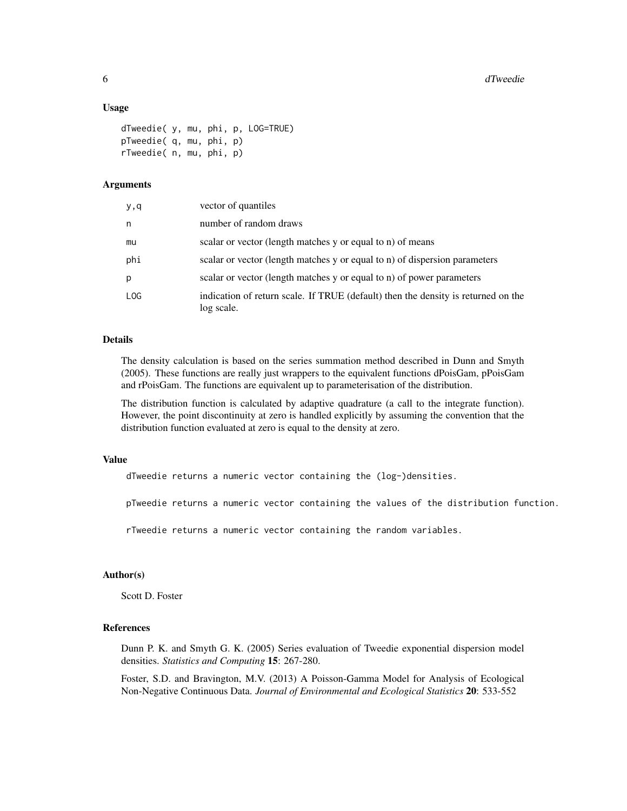#### Usage

```
dTweedie( y, mu, phi, p, LOG=TRUE)
pTweedie( q, mu, phi, p)
rTweedie( n, mu, phi, p)
```
# Arguments

| y,q | vector of quantiles                                                                             |
|-----|-------------------------------------------------------------------------------------------------|
| n   | number of random draws                                                                          |
| mu  | scalar or vector (length matches y or equal to n) of means                                      |
| phi | scalar or vector (length matches y or equal to n) of dispersion parameters                      |
| p   | scalar or vector (length matches y or equal to n) of power parameters                           |
| LOG | indication of return scale. If TRUE (default) then the density is returned on the<br>log scale. |

#### Details

The density calculation is based on the series summation method described in Dunn and Smyth (2005). These functions are really just wrappers to the equivalent functions dPoisGam, pPoisGam and rPoisGam. The functions are equivalent up to parameterisation of the distribution.

The distribution function is calculated by adaptive quadrature (a call to the integrate function). However, the point discontinuity at zero is handled explicitly by assuming the convention that the distribution function evaluated at zero is equal to the density at zero.

### Value

dTweedie returns a numeric vector containing the (log-)densities.

pTweedie returns a numeric vector containing the values of the distribution function.

rTweedie returns a numeric vector containing the random variables.

# Author(s)

Scott D. Foster

# References

Dunn P. K. and Smyth G. K. (2005) Series evaluation of Tweedie exponential dispersion model densities. *Statistics and Computing* 15: 267-280.

Foster, S.D. and Bravington, M.V. (2013) A Poisson-Gamma Model for Analysis of Ecological Non-Negative Continuous Data. *Journal of Environmental and Ecological Statistics* 20: 533-552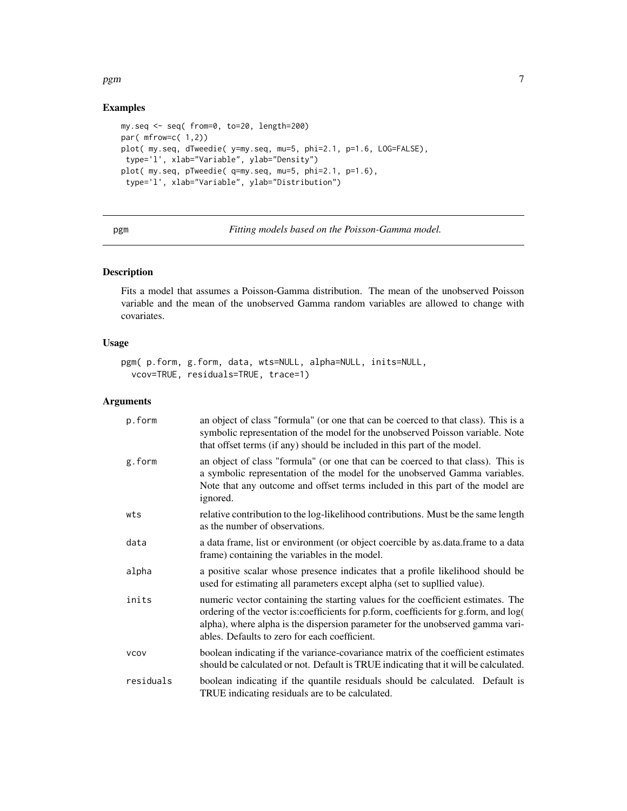# <span id="page-6-0"></span>pgm 30 and 20 and 20 and 20 and 20 and 20 and 20 and 20 and 20 and 20 and 20 and 20 and 20 and 20 and 20 and 20

# Examples

```
my.seq <- seq( from=0, to=20, length=200)
par( mfrow=c( 1,2))
plot( my.seq, dTweedie( y=my.seq, mu=5, phi=2.1, p=1.6, LOG=FALSE),
type='l', xlab="Variable", ylab="Density")
plot( my.seq, pTweedie( q=my.seq, mu=5, phi=2.1, p=1.6),
type='l', xlab="Variable", ylab="Distribution")
```
<span id="page-6-1"></span>pgm *Fitting models based on the Poisson-Gamma model.*

# Description

Fits a model that assumes a Poisson-Gamma distribution. The mean of the unobserved Poisson variable and the mean of the unobserved Gamma random variables are allowed to change with covariates.

# Usage

```
pgm( p.form, g.form, data, wts=NULL, alpha=NULL, inits=NULL,
 vcov=TRUE, residuals=TRUE, trace=1)
```
# Arguments

| p.form      | an object of class "formula" (or one that can be coerced to that class). This is a<br>symbolic representation of the model for the unobserved Poisson variable. Note<br>that offset terms (if any) should be included in this part of the model.                                                             |
|-------------|--------------------------------------------------------------------------------------------------------------------------------------------------------------------------------------------------------------------------------------------------------------------------------------------------------------|
| g.form      | an object of class "formula" (or one that can be coerced to that class). This is<br>a symbolic representation of the model for the unobserved Gamma variables.<br>Note that any outcome and offset terms included in this part of the model are<br>ignored.                                                  |
| wts         | relative contribution to the log-likelihood contributions. Must be the same length<br>as the number of observations.                                                                                                                                                                                         |
| data        | a data frame, list or environment (or object coercible by as data frame to a data<br>frame) containing the variables in the model.                                                                                                                                                                           |
| alpha       | a positive scalar whose presence indicates that a profile likelihood should be<br>used for estimating all parameters except alpha (set to supllied value).                                                                                                                                                   |
| inits       | numeric vector containing the starting values for the coefficient estimates. The<br>ordering of the vector is: coefficients for p.form, coefficients for g.form, and log(<br>alpha), where alpha is the dispersion parameter for the unobserved gamma vari-<br>ables. Defaults to zero for each coefficient. |
| <b>VCOV</b> | boolean indicating if the variance-covariance matrix of the coefficient estimates<br>should be calculated or not. Default is TRUE indicating that it will be calculated.                                                                                                                                     |
| residuals   | boolean indicating if the quantile residuals should be calculated. Default is<br>TRUE indicating residuals are to be calculated.                                                                                                                                                                             |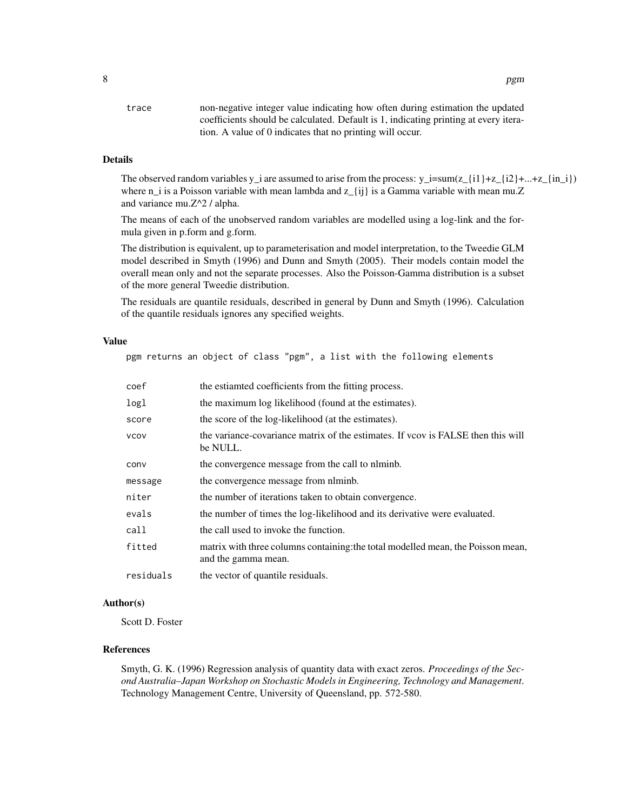| non-negative integer value indicating how often during estimation the updated        |
|--------------------------------------------------------------------------------------|
| coefficients should be calculated. Default is 1, indicating printing at every itera- |
| tion. A value of 0 indicates that no printing will occur.                            |
|                                                                                      |

# Details

The observed random variables y\_i are assumed to arise from the process: y\_i=sum(z\_{i1}+z\_{i2}+...+z\_{in\_i}) where n\_i is a Poisson variable with mean lambda and  $z_{i}(i)$  is a Gamma variable with mean mu.Z and variance mu.Z^2 / alpha.

The means of each of the unobserved random variables are modelled using a log-link and the formula given in p.form and g.form.

The distribution is equivalent, up to parameterisation and model interpretation, to the Tweedie GLM model described in Smyth (1996) and Dunn and Smyth (2005). Their models contain model the overall mean only and not the separate processes. Also the Poisson-Gamma distribution is a subset of the more general Tweedie distribution.

The residuals are quantile residuals, described in general by Dunn and Smyth (1996). Calculation of the quantile residuals ignores any specified weights.

# Value

pgm returns an object of class "pgm", a list with the following elements

| coef        | the estiamted coefficients from the fitting process.                                                    |
|-------------|---------------------------------------------------------------------------------------------------------|
| logl        | the maximum log likelihood (found at the estimates).                                                    |
| score       | the score of the log-likelihood (at the estimates).                                                     |
| <b>VCOV</b> | the variance-covariance matrix of the estimates. If you is FALSE then this will<br>be NULL.             |
| conv        | the convergence message from the call to niminb.                                                        |
| message     | the convergence message from nlminb.                                                                    |
| niter       | the number of iterations taken to obtain convergence.                                                   |
| evals       | the number of times the log-likelihood and its derivative were evaluated.                               |
| call        | the call used to invoke the function.                                                                   |
| fitted      | matrix with three columns containing: the total modelled mean, the Poisson mean,<br>and the gamma mean. |
| residuals   | the vector of quantile residuals.                                                                       |

# Author(s)

Scott D. Foster

# References

Smyth, G. K. (1996) Regression analysis of quantity data with exact zeros. *Proceedings of the Second Australia–Japan Workshop on Stochastic Models in Engineering, Technology and Management*. Technology Management Centre, University of Queensland, pp. 572-580.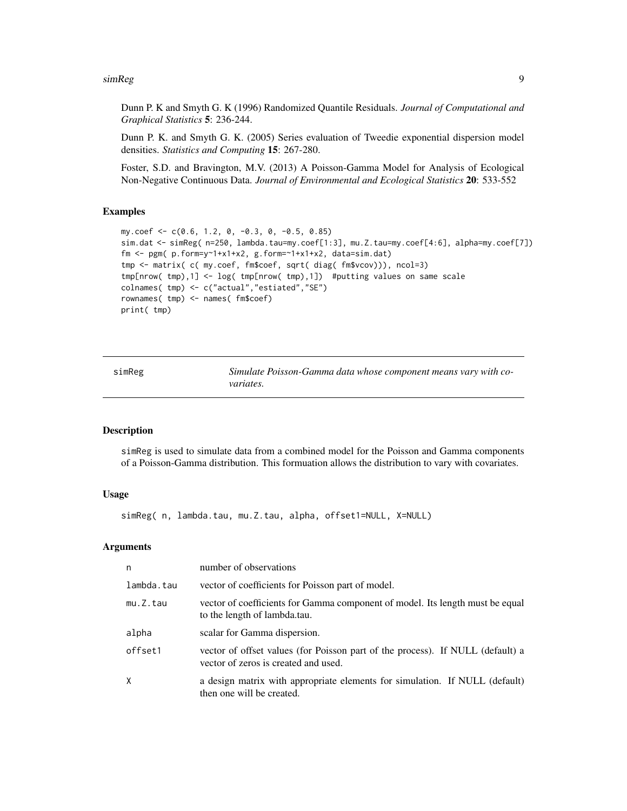#### <span id="page-8-0"></span>simReg 9

Dunn P. K and Smyth G. K (1996) Randomized Quantile Residuals. *Journal of Computational and Graphical Statistics* 5: 236-244.

Dunn P. K. and Smyth G. K. (2005) Series evaluation of Tweedie exponential dispersion model densities. *Statistics and Computing* 15: 267-280.

Foster, S.D. and Bravington, M.V. (2013) A Poisson-Gamma Model for Analysis of Ecological Non-Negative Continuous Data. *Journal of Environmental and Ecological Statistics* 20: 533-552

# Examples

```
my.coef <- c(0.6, 1.2, 0, -0.3, 0, -0.5, 0.85)
sim.dat <- simReg( n=250, lambda.tau=my.coef[1:3], mu.Z.tau=my.coef[4:6], alpha=my.coef[7])
fm <- pgm( p.form=y~1+x1+x2, g.form=~1+x1+x2, data=sim.dat)
tmp <- matrix( c( my.coef, fm$coef, sqrt( diag( fm$vcov))), ncol=3)
tmp[nrow( tmp),1] <- log( tmp[nrow( tmp),1]) #putting values on same scale
colnames( tmp) <- c("actual","estiated","SE")
rownames( tmp) <- names( fm$coef)
print( tmp)
```
<span id="page-8-1"></span>

| sımReg |  |
|--------|--|
|        |  |
|        |  |

Simulate Poisson-Gamma data whose component means vary with co*variates.*

# Description

simReg is used to simulate data from a combined model for the Poisson and Gamma components of a Poisson-Gamma distribution. This formuation allows the distribution to vary with covariates.

# Usage

simReg( n, lambda.tau, mu.Z.tau, alpha, offset1=NULL, X=NULL)

# Arguments

| n          | number of observations                                                                                                 |
|------------|------------------------------------------------------------------------------------------------------------------------|
| lambda.tau | vector of coefficients for Poisson part of model.                                                                      |
| mu.Z.tau   | vector of coefficients for Gamma component of model. Its length must be equal<br>to the length of lambda.tau.          |
| alpha      | scalar for Gamma dispersion.                                                                                           |
| offset1    | vector of offset values (for Poisson part of the process). If NULL (default) a<br>vector of zeros is created and used. |
| X          | a design matrix with appropriate elements for simulation. If NULL (default)<br>then one will be created.               |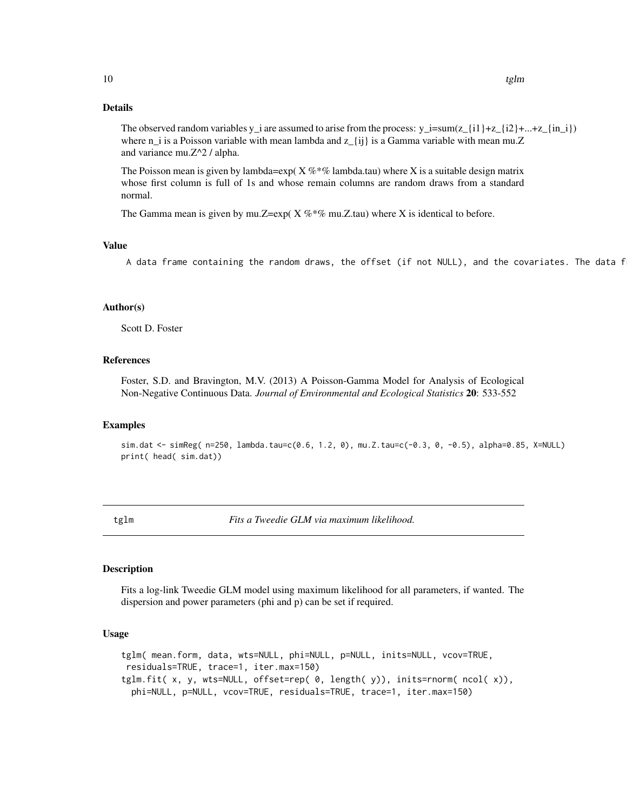# <span id="page-9-0"></span>Details

The observed random variables y\_i are assumed to arise from the process:  $y_i = \text{sum}(z_{i1} + z_{i2} + \dots + z_{i(n_i)})$ where  $n_i$  is a Poisson variable with mean lambda and  $z_{i}$  ij is a Gamma variable with mean mu.Z and variance mu.Z^2 / alpha.

The Poisson mean is given by lambda=exp( $X \%^* \%$  lambda.tau) where X is a suitable design matrix whose first column is full of 1s and whose remain columns are random draws from a standard normal.

The Gamma mean is given by mu.Z=exp(  $X \%$  \*% mu.Z.tau) where X is identical to before.

#### Value

A data frame containing the random draws, the offset (if not NULL), and the covariates. The data f

#### Author(s)

Scott D. Foster

# References

Foster, S.D. and Bravington, M.V. (2013) A Poisson-Gamma Model for Analysis of Ecological Non-Negative Continuous Data. *Journal of Environmental and Ecological Statistics* 20: 533-552

#### Examples

sim.dat <- simReg( n=250, lambda.tau=c(0.6, 1.2, 0), mu.Z.tau=c(-0.3, 0, -0.5), alpha=0.85, X=NULL) print( head( sim.dat))

<span id="page-9-1"></span>tglm *Fits a Tweedie GLM via maximum likelihood.*

# <span id="page-9-2"></span>Description

Fits a log-link Tweedie GLM model using maximum likelihood for all parameters, if wanted. The dispersion and power parameters (phi and p) can be set if required.

#### Usage

tglm( mean.form, data, wts=NULL, phi=NULL, p=NULL, inits=NULL, vcov=TRUE, residuals=TRUE, trace=1, iter.max=150) tglm.fit( x, y, wts=NULL, offset=rep( 0, length( y)), inits=rnorm( ncol( x)), phi=NULL, p=NULL, vcov=TRUE, residuals=TRUE, trace=1, iter.max=150)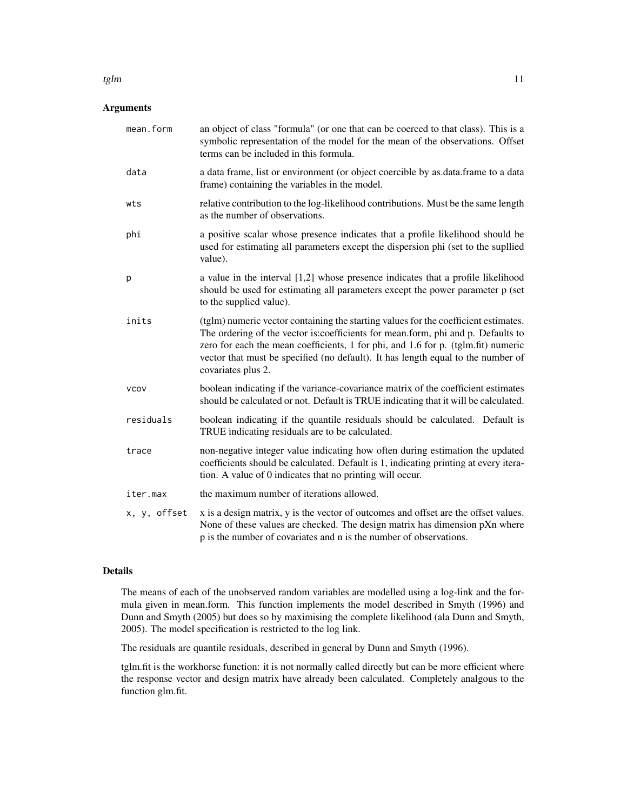# Arguments

| mean.form    | an object of class "formula" (or one that can be coerced to that class). This is a<br>symbolic representation of the model for the mean of the observations. Offset<br>terms can be included in this formula.                                                                                                                                                           |
|--------------|-------------------------------------------------------------------------------------------------------------------------------------------------------------------------------------------------------------------------------------------------------------------------------------------------------------------------------------------------------------------------|
| data         | a data frame, list or environment (or object coercible by as data frame to a data<br>frame) containing the variables in the model.                                                                                                                                                                                                                                      |
| wts          | relative contribution to the log-likelihood contributions. Must be the same length<br>as the number of observations.                                                                                                                                                                                                                                                    |
| phi          | a positive scalar whose presence indicates that a profile likelihood should be<br>used for estimating all parameters except the dispersion phi (set to the supllied<br>value).                                                                                                                                                                                          |
| p            | a value in the interval [1,2] whose presence indicates that a profile likelihood<br>should be used for estimating all parameters except the power parameter p (set<br>to the supplied value).                                                                                                                                                                           |
| inits        | (tglm) numeric vector containing the starting values for the coefficient estimates.<br>The ordering of the vector is: coefficients for mean.form, phi and p. Defaults to<br>zero for each the mean coefficients, 1 for phi, and 1.6 for p. (tglm.fit) numeric<br>vector that must be specified (no default). It has length equal to the number of<br>covariates plus 2. |
| <b>VCOV</b>  | boolean indicating if the variance-covariance matrix of the coefficient estimates<br>should be calculated or not. Default is TRUE indicating that it will be calculated.                                                                                                                                                                                                |
| residuals    | boolean indicating if the quantile residuals should be calculated. Default is<br>TRUE indicating residuals are to be calculated.                                                                                                                                                                                                                                        |
| trace        | non-negative integer value indicating how often during estimation the updated<br>coefficients should be calculated. Default is 1, indicating printing at every itera-<br>tion. A value of 0 indicates that no printing will occur.                                                                                                                                      |
| iter.max     | the maximum number of iterations allowed.                                                                                                                                                                                                                                                                                                                               |
| x, y, offset | x is a design matrix, y is the vector of outcomes and offset are the offset values.<br>None of these values are checked. The design matrix has dimension pXn where<br>p is the number of covariates and n is the number of observations.                                                                                                                                |

#### Details

The means of each of the unobserved random variables are modelled using a log-link and the formula given in mean.form. This function implements the model described in Smyth (1996) and Dunn and Smyth (2005) but does so by maximising the complete likelihood (ala Dunn and Smyth, 2005). The model specification is restricted to the log link.

The residuals are quantile residuals, described in general by Dunn and Smyth (1996).

tglm.fit is the workhorse function: it is not normally called directly but can be more efficient where the response vector and design matrix have already been calculated. Completely analgous to the function glm.fit.

#### tglm  $11$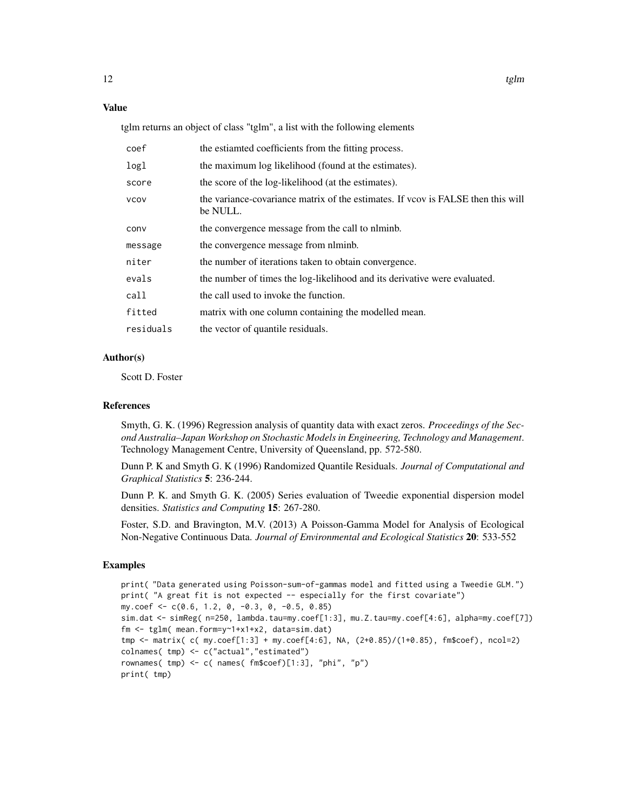# Value

tglm returns an object of class "tglm", a list with the following elements

| coef        | the estiamted coefficients from the fitting process.                                        |
|-------------|---------------------------------------------------------------------------------------------|
| logl        | the maximum log likelihood (found at the estimates).                                        |
| score       | the score of the log-likelihood (at the estimates).                                         |
| <b>VCOV</b> | the variance-covariance matrix of the estimates. If you is FALSE then this will<br>be NULL. |
| conv        | the convergence message from the call to niminb.                                            |
| message     | the convergence message from nlminb.                                                        |
| niter       | the number of iterations taken to obtain convergence.                                       |
| evals       | the number of times the log-likelihood and its derivative were evaluated.                   |
| call        | the call used to invoke the function.                                                       |
| fitted      | matrix with one column containing the modelled mean.                                        |
| residuals   | the vector of quantile residuals.                                                           |

#### Author(s)

Scott D. Foster

#### References

Smyth, G. K. (1996) Regression analysis of quantity data with exact zeros. *Proceedings of the Second Australia–Japan Workshop on Stochastic Models in Engineering, Technology and Management*. Technology Management Centre, University of Queensland, pp. 572-580.

Dunn P. K and Smyth G. K (1996) Randomized Quantile Residuals. *Journal of Computational and Graphical Statistics* 5: 236-244.

Dunn P. K. and Smyth G. K. (2005) Series evaluation of Tweedie exponential dispersion model densities. *Statistics and Computing* 15: 267-280.

Foster, S.D. and Bravington, M.V. (2013) A Poisson-Gamma Model for Analysis of Ecological Non-Negative Continuous Data. *Journal of Environmental and Ecological Statistics* 20: 533-552

#### Examples

```
print( "Data generated using Poisson-sum-of-gammas model and fitted using a Tweedie GLM.")
print( "A great fit is not expected -- especially for the first covariate")
my.coef <- c(0.6, 1.2, 0, -0.3, 0, -0.5, 0.85)
sim.dat <- simReg( n=250, lambda.tau=my.coef[1:3], mu.Z.tau=my.coef[4:6], alpha=my.coef[7])
fm <- tglm( mean.form=y~1+x1+x2, data=sim.dat)
tmp <- matrix( c( my.coef[1:3] + my.coef[4:6], NA, (2+0.85)/(1+0.85), fm$coef), ncol=2)
colnames( tmp) <- c("actual","estimated")
rownames( tmp) <- c( names( fm$coef)[1:3], "phi", "p")
print( tmp)
```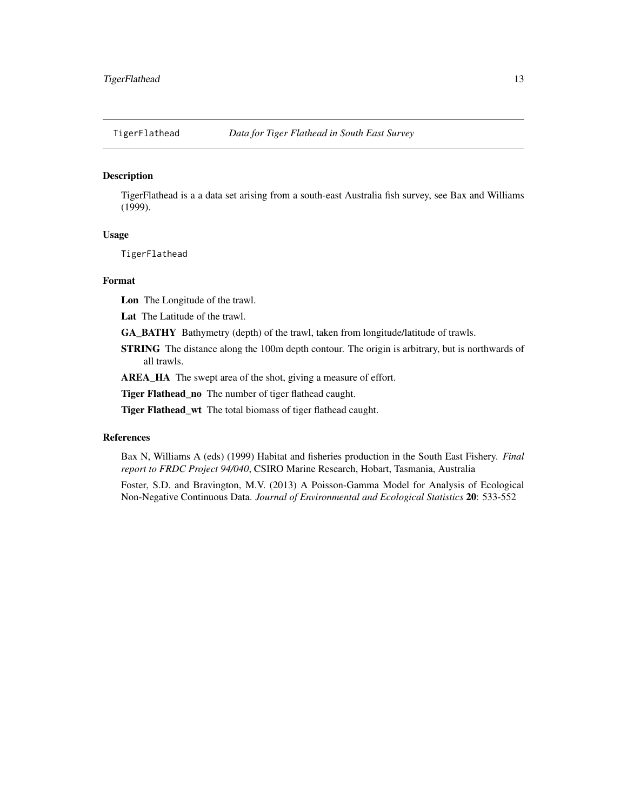<span id="page-12-0"></span>

# Description

TigerFlathead is a a data set arising from a south-east Australia fish survey, see Bax and Williams (1999).

# Usage

TigerFlathead

# Format

Lon The Longitude of the trawl.

Lat The Latitude of the trawl.

GA\_BATHY Bathymetry (depth) of the trawl, taken from longitude/latitude of trawls.

STRING The distance along the 100m depth contour. The origin is arbitrary, but is northwards of all trawls.

AREA\_HA The swept area of the shot, giving a measure of effort.

Tiger Flathead\_no The number of tiger flathead caught.

Tiger Flathead\_wt The total biomass of tiger flathead caught.

#### References

Bax N, Williams A (eds) (1999) Habitat and fisheries production in the South East Fishery. *Final report to FRDC Project 94/040*, CSIRO Marine Research, Hobart, Tasmania, Australia

Foster, S.D. and Bravington, M.V. (2013) A Poisson-Gamma Model for Analysis of Ecological Non-Negative Continuous Data. *Journal of Environmental and Ecological Statistics* 20: 533-552